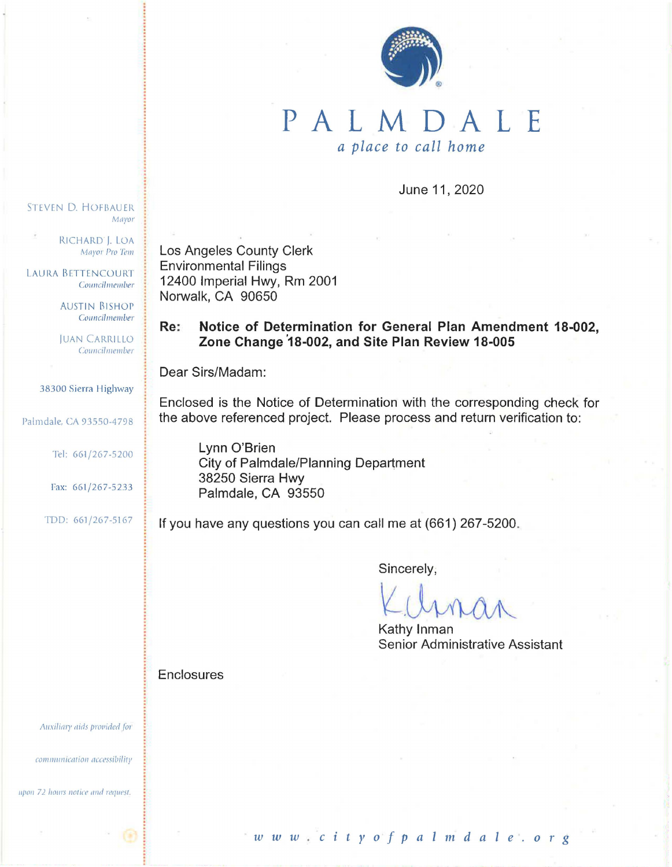

## PALMDALE *a place to call home*

June 11, 2020

RICHARD ). LOA Mayor Pro Tem

Mayor

STEVEN D. HOFBAUER

LAURA BETTENCOURT Councilmember

> AUSTIN BISHOP Councilmember

JUAN CARRILLO Councilmember

38300 Sierra Highway

Palmdale, CA 93550-4798

Tel: 661/267-5200

Fax: 661/267-5233

TDD: 661/267-5167

Los Angeles County Clerk Environmental Filings 12400 Imperial Hwy, Rm 2001 Norwalk, CA 90650

**Re: Notice of Determination for General Plan Amendment 18-002, Zone Change <sup>0</sup> 18-002, and Site Plan Review 18-005** 

Dear Sirs/Madam:

Enclosed is the Notice of Determination with the corresponding check for the above referenced project. Please process and return verification to:

Lynn O'Brien City of Palmdale/Planning Department 38250 Sierra Hwy Palmdale, CA 93550

If you have any questions you can call me at (661) 267-5200.

Sincerely;

Kathy Inman Senior Administrative Assistant

**Enclosures** 

Auxiliary aids provided for

communication accessibility

upon 72 hours notice and request.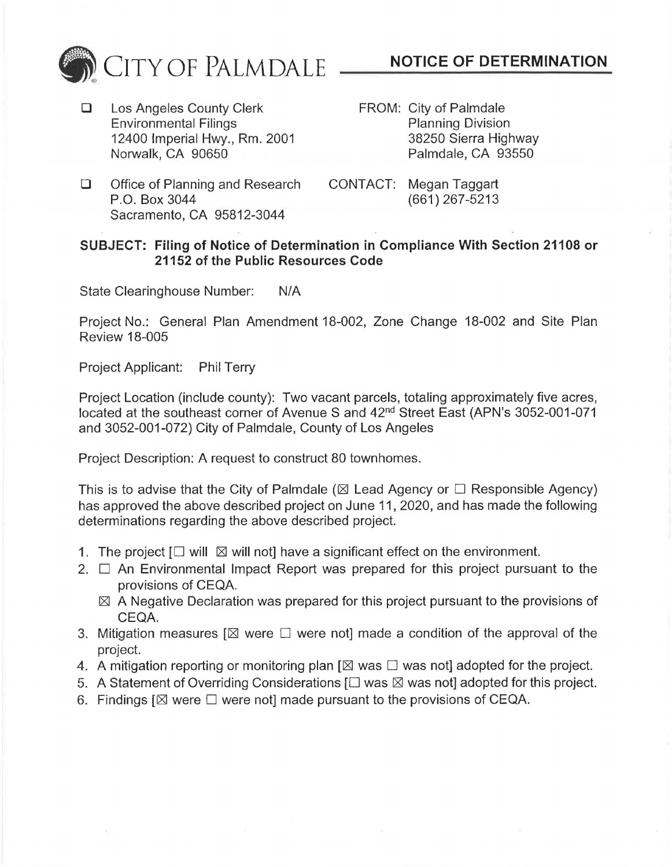

- □ Los Angeles County Clerk Environmental Filings 12400 Imperial Hwy., Rm. 2001 Norwalk, CA 90650
- FROM: City of Palmdale Planning Division 38250 Sierra Highway Palmdale, CA 93550
- □ Office of Planning and Research P.O. Box 3044 Sacramento, CA 95812-3044
- CONTACT: Megan Taggart (661) 267-5213

## **SUBJECT: Filing of Notice of Determination in Compliance With Section 21108 or 21152 of the Public Resources Code**

State Clearinghouse Number: N/A

Project No.: General Plan Amendment 18-002, Zone Change 18-002 and Site Plan Review 18-005

Project Applicant: Phil Terry

Project Location (include county): Two vacant parcels, totaling approximately five acres, located at the southeast corner of Avenue S and 42<sup>nd</sup> Street East (APN's 3052-001-071 and 3052-001-072) City of Palmdale, County of Los Angeles

Project Description: A request to construct 80 townhomes.

This is to advise that the City of Palmdale ( $\boxtimes$  Lead Agency or  $\square$  Responsible Agency) has approved the above described project on June 11, 2020, and has made the following determinations regarding the above described project.

- 1. The project  $\Box$  will  $\boxtimes$  will not] have a significant effect on the environment.
- 2.  $\Box$  An Environmental Impact Report was prepared for this project pursuant to the provisions of CEQA.
	- $\boxtimes$  A Negative Declaration was prepared for this project pursuant to the provisions of CEQA.
- 3. Mitigation measures  $[\boxtimes]$  were  $\square$  were not] made a condition of the approval of the project.
- 4. A mitigation reporting or monitoring plan  $[\boxtimes$  was  $\square$  was not] adopted for the project.
- 5. A Statement of Overriding Considerations  $[\Box$  was  $\boxtimes$  was not] adopted for this project.
- 6. Findings  $[ $\boxtimes$  were  $\square$  were not] made pursuit to the provisions of CEQA.$